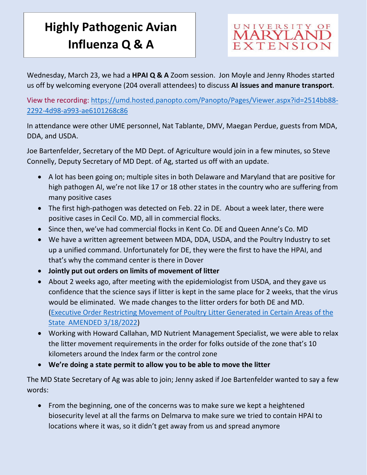## **Highly Pathogenic Avian Influenza Q & A**



Wednesday, March 23, we had a **HPAI Q & A** Zoom session. Jon Moyle and Jenny Rhodes started us off by welcoming everyone (204 overall attendees) to discuss **AI issues and manure transport**.

View the recording: [https://umd.hosted.panopto.com/Panopto/Pages/Viewer.aspx?id=2514bb88-](https://umd.hosted.panopto.com/Panopto/Pages/Viewer.aspx?id=2514bb88-2292-4d98-a993-ae6101268c86) [2292-4d98-a993-ae6101268c86](https://umd.hosted.panopto.com/Panopto/Pages/Viewer.aspx?id=2514bb88-2292-4d98-a993-ae6101268c86)

In attendance were other UME personnel, Nat Tablante, DMV, Maegan Perdue, guests from MDA, DDA, and USDA.

Joe Bartenfelder, Secretary of the MD Dept. of Agriculture would join in a few minutes, so Steve Connelly, Deputy Secretary of MD Dept. of Ag, started us off with an update.

- A lot has been going on; multiple sites in both Delaware and Maryland that are positive for high pathogen AI, we're not like 17 or 18 other states in the country who are suffering from many positive cases
- The first high-pathogen was detected on Feb. 22 in DE. About a week later, there were positive cases in Cecil Co. MD, all in commercial flocks.
- Since then, we've had commercial flocks in Kent Co. DE and Queen Anne's Co. MD
- We have a written agreement between MDA, DDA, USDA, and the Poultry Industry to set up a unified command. Unfortunately for DE, they were the first to have the HPAI, and that's why the command center is there in Dover
- **Jointly put out orders on limits of movement of litter**
- About 2 weeks ago, after meeting with the epidemiologist from USDA, and they gave us confidence that the science says if litter is kept in the same place for 2 weeks, that the virus would be eliminated. We made changes to the litter orders for both DE and MD. [\(Executive Order Restricting Movement of Poultry Litter Generated in Certain Areas of the](https://mda.maryland.gov/Documents/EO_AMENDED_3_18_2022_PoultryLitterMovement.pdf)  [State AMENDED 3/18/2022\)](https://mda.maryland.gov/Documents/EO_AMENDED_3_18_2022_PoultryLitterMovement.pdf)
- Working with Howard Callahan, MD Nutrient Management Specialist, we were able to relax the litter movement requirements in the order for folks outside of the zone that's 10 kilometers around the Index farm or the control zone
- **We're doing a state permit to allow you to be able to move the litter**

The MD State Secretary of Ag was able to join; Jenny asked if Joe Bartenfelder wanted to say a few words:

• From the beginning, one of the concerns was to make sure we kept a heightened biosecurity level at all the farms on Delmarva to make sure we tried to contain HPAI to locations where it was, so it didn't get away from us and spread anymore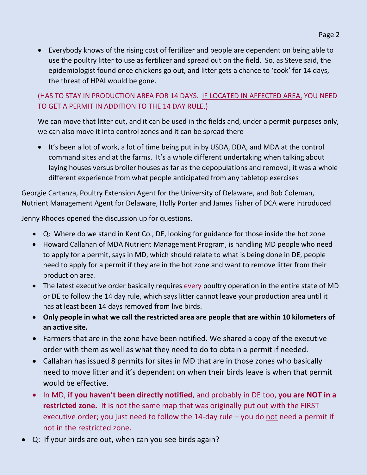• Everybody knows of the rising cost of fertilizer and people are dependent on being able to use the poultry litter to use as fertilizer and spread out on the field. So, as Steve said, the epidemiologist found once chickens go out, and litter gets a chance to 'cook' for 14 days, the threat of HPAI would be gone.

## (HAS TO STAY IN PRODUCTION AREA FOR 14 DAYS. IF LOCATED IN AFFECTED AREA, YOU NEED TO GET A PERMIT IN ADDITION TO THE 14 DAY RULE.)

We can move that litter out, and it can be used in the fields and, under a permit-purposes only, we can also move it into control zones and it can be spread there

• It's been a lot of work, a lot of time being put in by USDA, DDA, and MDA at the control command sites and at the farms. It's a whole different undertaking when talking about laying houses versus broiler houses as far as the depopulations and removal; it was a whole different experience from what people anticipated from any tabletop exercises

Georgie Cartanza, Poultry Extension Agent for the University of Delaware, and Bob Coleman, Nutrient Management Agent for Delaware, Holly Porter and James Fisher of DCA were introduced

Jenny Rhodes opened the discussion up for questions.

- Q: Where do we stand in Kent Co., DE, looking for guidance for those inside the hot zone
- Howard Callahan of MDA Nutrient Management Program, is handling MD people who need to apply for a permit, says in MD, which should relate to what is being done in DE, people need to apply for a permit if they are in the hot zone and want to remove litter from their production area.
- The latest executive order basically requires every poultry operation in the entire state of MD or DE to follow the 14 day rule, which says litter cannot leave your production area until it has at least been 14 days removed from live birds.
- **Only people in what we call the restricted area are people that are within 10 kilometers of an active site.**
- Farmers that are in the zone have been notified. We shared a copy of the executive order with them as well as what they need to do to obtain a permit if needed.
- Callahan has issued 8 permits for sites in MD that are in those zones who basically need to move litter and it's dependent on when their birds leave is when that permit would be effective.
- In MD, **if you haven't been directly notified**, and probably in DE too, **you are NOT in a restricted zone.** It is not the same map that was originally put out with the FIRST executive order; you just need to follow the 14-day rule  $-$  you do not need a permit if not in the restricted zone.
- Q: If your birds are out, when can you see birds again?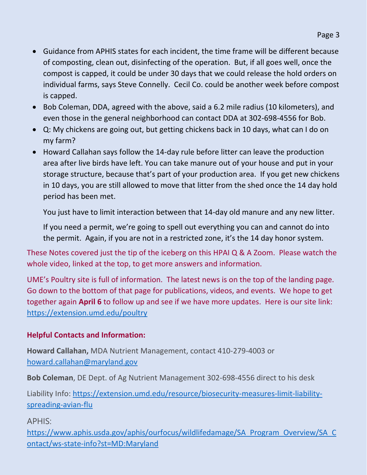- Guidance from APHIS states for each incident, the time frame will be different because of composting, clean out, disinfecting of the operation. But, if all goes well, once the compost is capped, it could be under 30 days that we could release the hold orders on individual farms, says Steve Connelly. Cecil Co. could be another week before compost is capped.
- Bob Coleman, DDA, agreed with the above, said a 6.2 mile radius (10 kilometers), and even those in the general neighborhood can contact DDA at 302-698-4556 for Bob.
- Q: My chickens are going out, but getting chickens back in 10 days, what can I do on my farm?
- Howard Callahan says follow the 14-day rule before litter can leave the production area after live birds have left. You can take manure out of your house and put in your storage structure, because that's part of your production area. If you get new chickens in 10 days, you are still allowed to move that litter from the shed once the 14 day hold period has been met.

You just have to limit interaction between that 14-day old manure and any new litter.

If you need a permit, we're going to spell out everything you can and cannot do into the permit. Again, if you are not in a restricted zone, it's the 14 day honor system.

These Notes covered just the tip of the iceberg on this HPAI Q & A Zoom. Please watch the whole video, linked at the top, to get more answers and information.

UME's Poultry site is full of information. The latest news is on the top of the landing page. Go down to the bottom of that page for publications, videos, and events. We hope to get together again **April 6** to follow up and see if we have more updates. Here is our site link: <https://extension.umd.edu/poultry>

## **Helpful Contacts and Information:**

**Howard Callahan,** MDA Nutrient Management, contact 410-279-4003 or [howard.callahan@maryland.gov](mailto:howard.callahan@maryland.gov)

**Bob Coleman**, DE Dept. of Ag Nutrient Management 302-698-4556 direct to his desk

Liability Info: [https://extension.umd.edu/resource/biosecurity-measures-limit-liability](https://extension.umd.edu/resource/biosecurity-measures-limit-liability-spreading-avian-flu)[spreading-avian-flu](https://extension.umd.edu/resource/biosecurity-measures-limit-liability-spreading-avian-flu)

APHIS:

[https://www.aphis.usda.gov/aphis/ourfocus/wildlifedamage/SA\\_Program\\_Overview/SA\\_C](https://www.aphis.usda.gov/aphis/ourfocus/wildlifedamage/SA_Program_Overview/SA_Contact/ws-state-info?st=MD:Maryland) [ontact/ws-state-info?st=MD:Maryland](https://www.aphis.usda.gov/aphis/ourfocus/wildlifedamage/SA_Program_Overview/SA_Contact/ws-state-info?st=MD:Maryland)